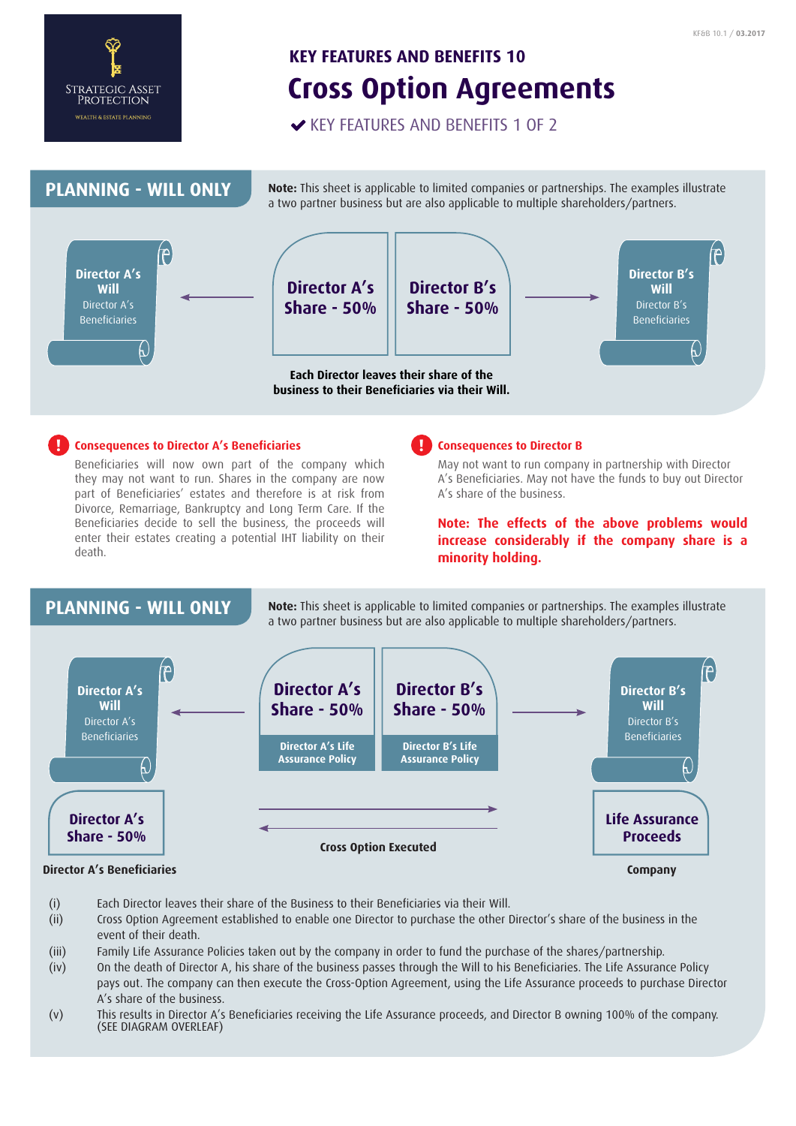

# **Cross Option Agreements KEY FEATURES AND BENEFITS 10**

KEY FEATURES AND BENEFITS 1 OF 2



# **Consequences to Director A's Beneficiaries ! !**

Beneficiaries will now own part of the company which they may not want to run. Shares in the company are now part of Beneficiaries' estates and therefore is at risk from Divorce, Remarriage, Bankruptcy and Long Term Care. If the Beneficiaries decide to sell the business, the proceeds will enter their estates creating a potential IHT liability on their death.

### **Consequences to Director B**

May not want to run company in partnership with Director A's Beneficiaries. May not have the funds to buy out Director A's share of the business.

**Note: The effects of the above problems would increase considerably if the company share is a minority holding.**

# **PLANNING - WILL ONLY**

**Note:** This sheet is applicable to limited companies or partnerships. The examples illustrate a two partner business but are also applicable to multiple shareholders/partners.



- (i) Each Director leaves their share of the Business to their Beneficiaries via their Will.
- (ii) Cross Option Agreement established to enable one Director to purchase the other Director's share of the business in the event of their death.
- (iii) Family Life Assurance Policies taken out by the company in order to fund the purchase of the shares/partnership.
- (iv) On the death of Director A, his share of the business passes through the Will to his Beneficiaries. The Life Assurance Policy pays out. The company can then execute the Cross-Option Agreement, using the Life Assurance proceeds to purchase Director A's share of the business.
- (v) This results in Director A's Beneficiaries receiving the Life Assurance proceeds, and Director B owning 100% of the company. (SEE DIAGRAM OVERLEAF)